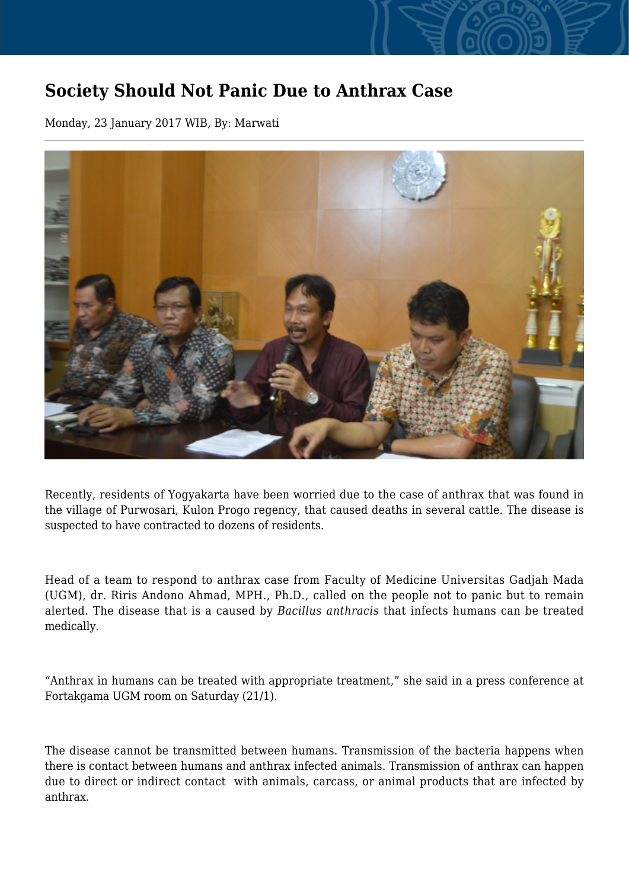## **Society Should Not Panic Due to Anthrax Case**

Monday, 23 January 2017 WIB, By: Marwati



Recently, residents of Yogyakarta have been worried due to the case of anthrax that was found in the village of Purwosari, Kulon Progo regency, that caused deaths in several cattle. The disease is suspected to have contracted to dozens of residents.

Head of a team to respond to anthrax case from Faculty of Medicine Universitas Gadjah Mada (UGM), dr. Riris Andono Ahmad, MPH., Ph.D., called on the people not to panic but to remain alerted. The disease that is a caused by *Bacillus anthracis* that infects humans can be treated medically.

"Anthrax in humans can be treated with appropriate treatment," she said in a press conference at Fortakgama UGM room on Saturday (21/1).

The disease cannot be transmitted between humans. Transmission of the bacteria happens when there is contact between humans and anthrax infected animals. Transmission of anthrax can happen due to direct or indirect contact with animals, carcass, or animal products that are infected by anthrax.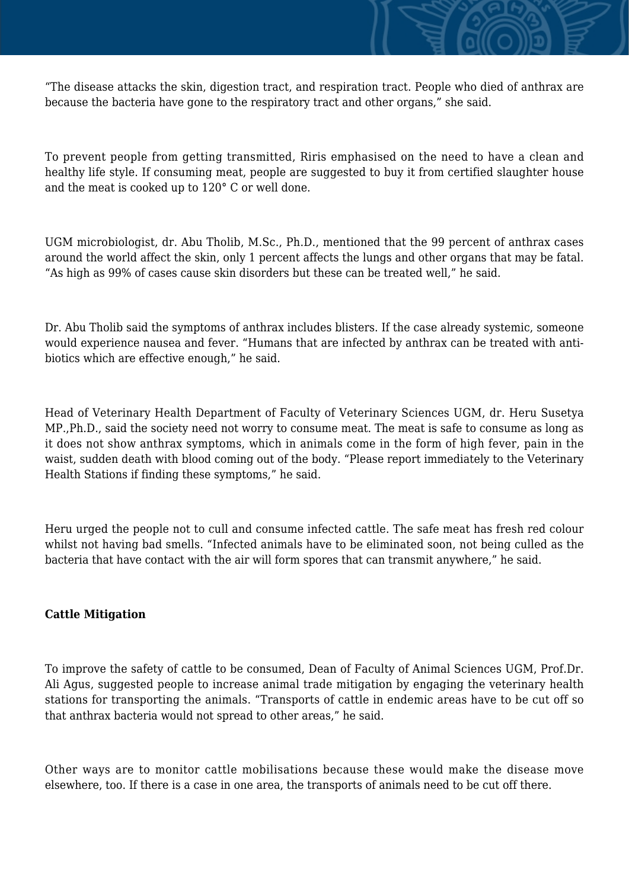

"The disease attacks the skin, digestion tract, and respiration tract. People who died of anthrax are because the bacteria have gone to the respiratory tract and other organs," she said.

To prevent people from getting transmitted, Riris emphasised on the need to have a clean and healthy life style. If consuming meat, people are suggested to buy it from certified slaughter house and the meat is cooked up to 120° C or well done.

UGM microbiologist, dr. Abu Tholib, M.Sc., Ph.D., mentioned that the 99 percent of anthrax cases around the world affect the skin, only 1 percent affects the lungs and other organs that may be fatal. "As high as 99% of cases cause skin disorders but these can be treated well," he said.

Dr. Abu Tholib said the symptoms of anthrax includes blisters. If the case already systemic, someone would experience nausea and fever. "Humans that are infected by anthrax can be treated with antibiotics which are effective enough," he said.

Head of Veterinary Health Department of Faculty of Veterinary Sciences UGM, dr. Heru Susetya MP.,Ph.D., said the society need not worry to consume meat. The meat is safe to consume as long as it does not show anthrax symptoms, which in animals come in the form of high fever, pain in the waist, sudden death with blood coming out of the body. "Please report immediately to the Veterinary Health Stations if finding these symptoms," he said.

Heru urged the people not to cull and consume infected cattle. The safe meat has fresh red colour whilst not having bad smells. "Infected animals have to be eliminated soon, not being culled as the bacteria that have contact with the air will form spores that can transmit anywhere," he said.

## **Cattle Mitigation**

To improve the safety of cattle to be consumed, Dean of Faculty of Animal Sciences UGM, Prof.Dr. Ali Agus, suggested people to increase animal trade mitigation by engaging the veterinary health stations for transporting the animals. "Transports of cattle in endemic areas have to be cut off so that anthrax bacteria would not spread to other areas," he said.

Other ways are to monitor cattle mobilisations because these would make the disease move elsewhere, too. If there is a case in one area, the transports of animals need to be cut off there.